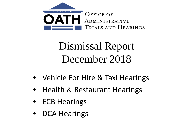

# Dismissal Report December 2018

- Vehicle For Hire & Taxi Hearings
- Health & Restaurant Hearings
- ECB Hearings
- DCA Hearings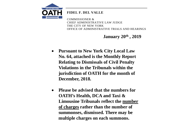

## **FIDEL F. DEL VALLE**

COMMISSIONER & CHIEF ADMINISTRATIVE LAW JUDGE THE CITY OF NEW YORK OFFICE OF ADMINISTRATIVE TRIALS AND HEARINGS

**January 20th , 2019**

- **Pursuant to New York City Local Law No. 64, attached is the Monthly Report Relating to Dismissals of Civil Penalty Violations in the Tribunals within the jurisdiction of OATH for the month of December, 2018.**
- **Please be advised that the numbers for OATH's Health, DCA and Taxi & Limousine Tribunals reflect the number of charges rather than the number of summonses, dismissed. There may be multiple charges on each summons.**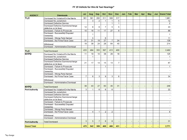#### FY 19 Vehicle for Hire & Taxi Hearings\*

| <b>AGENCY</b>         | <b>Dismissals</b>                    | Jul            | Aug            | <b>Sep</b>     | Oct            | <b>Nov</b>     | <b>Dec</b>     | Jan | Feb | <b>Mar</b> | Apr | <b>May</b> | Jun | <b>Grand Total</b>       |
|-----------------------|--------------------------------------|----------------|----------------|----------------|----------------|----------------|----------------|-----|-----|------------|-----|------------|-----|--------------------------|
| TLC                   | Dismissed No Violation/On the Merits | 361            | 391            | 293            | 311            | 308            | 317            |     |     |            |     |            |     | 1,981                    |
|                       | Dismissed No Jurisdiction            |                | $\overline{3}$ | $\overline{2}$ | $\mathbf{1}$   | 1              | 5              |     |     |            |     |            |     | 12                       |
|                       | <b>Dismissed Defective Service</b>   |                |                |                |                | 1              | $\mathbf{1}$   |     |     |            |     |            |     | $\overline{2}$           |
|                       | Dismissed Defective Summons/charge   | 12             | 8              | 6              | $\overline{7}$ | 5              | 5              |     |     |            |     |            |     | 43                       |
|                       | (defective on its face)              |                |                |                |                |                |                |     |     |            |     |            |     |                          |
|                       | Dismissed - Failure to Prosecute     | 10             | 16             | 11             | 17             | 27             | 8              |     |     |            |     |            |     | 89                       |
|                       | Dismissed - Successfully Disputed    |                | 1              |                |                |                |                |     |     |            |     |            |     | 1                        |
|                       | Ownership                            |                |                |                |                |                |                |     |     |            |     |            |     |                          |
|                       | Dismissed - Wrong Party Named        |                | 5              |                | 6              |                |                |     |     |            |     |            |     | 11                       |
|                       | Dismissed - No Prima Facie Case      | 31             | 31             | 19             | 27             | $\overline{7}$ | 24             |     |     |            |     |            |     | 139                      |
|                       | Withdrawal                           | 19             | 39             | 24             | 28             | 64             | 40             |     |     |            |     |            |     | 214                      |
|                       | Dismissed - Administrative Dismissal |                |                |                |                |                |                |     |     |            |     |            |     |                          |
| <b>TLC</b>            | <b>Total Dismissed</b>               | 433            | 494            | 355            | 397            | 413            | 400            |     |     |            |     |            |     | 2,492                    |
| <b>NYPD</b>           | Dismissed No Violation/On the Merits | 11             | 19             | 10             | 38             | 29             | 18             |     |     |            |     |            |     | 125                      |
|                       | Dismissed No Jurisdiction            |                | 1              |                |                |                |                |     |     |            |     |            |     | 1                        |
|                       | <b>Dismissed Defective Service</b>   |                |                |                |                |                |                |     |     |            |     |            |     |                          |
|                       | Dismissed Defective Summons/charge   | 21             | 17             | 14             | 15             | 13             | $\overline{7}$ |     |     |            |     |            |     | 87                       |
|                       | (defective on its face)              |                |                |                |                |                |                |     |     |            |     |            |     |                          |
|                       | Dismissed - Failure to Prosecute     |                |                |                | $\mathbf{1}$   |                |                |     |     |            |     |            |     | 1                        |
|                       | Dismissed - Successfully Disputed    |                |                |                |                |                |                |     |     |            |     |            |     |                          |
|                       | Ownership                            |                |                |                |                |                |                |     |     |            |     |            |     |                          |
|                       | Dismissed - Wrong Party Named        |                |                |                |                |                |                |     |     |            |     |            |     |                          |
|                       | Dismissed - No Prima Facie Case      | $\overline{7}$ | 6              | 3              | 9              | 3              | 6              |     |     |            |     |            |     | 34                       |
|                       | Withdrawal                           |                |                |                |                |                |                |     |     |            |     |            |     |                          |
|                       | Dismissed - Administrative Dismissal |                |                |                |                |                |                |     |     |            |     |            |     |                          |
| <b>NYPD</b>           | <b>Total Dismissed</b>               | 39             | 43             | 27             | 63             | 45             | 31             |     |     |            |     |            |     | 248                      |
| Port Authority        | Dismissed No Violation/On the Merits | 3              | 1              | 6              | 6              | 6              |                |     |     |            |     |            |     | 22                       |
|                       | Dismissed No Jurisdiction            |                |                |                |                |                |                |     |     |            |     |            |     |                          |
|                       | <b>Dismissed Defective Service</b>   |                |                |                |                |                |                |     |     |            |     |            |     | $\sim$                   |
|                       | Dismissed Defective Summons/charge   |                |                |                |                |                |                |     |     |            |     |            |     |                          |
|                       | (defective on its face)              |                |                |                |                |                |                |     |     |            |     |            |     |                          |
|                       | Dismissed - Failure to Prosecute     |                |                |                |                |                |                |     |     |            |     |            |     |                          |
|                       | Dismissed - Successfully Disputed    |                |                |                |                |                |                |     |     |            |     |            |     |                          |
|                       | Ownership                            |                |                |                |                |                |                |     |     |            |     |            |     |                          |
|                       | Dismissed - Wrong Party Named        |                |                |                |                |                |                |     |     |            |     |            |     | $\overline{\phantom{a}}$ |
|                       | Dismissed - No Prima Facie Case      |                | 4              | $\mathbf{1}$   | 2              | 2              |                |     |     |            |     |            |     | 9                        |
|                       | Withdrawal                           |                |                |                |                |                |                |     |     |            |     |            |     |                          |
|                       | Dismissed - Administrative Dismissal |                |                |                |                |                |                |     |     |            |     |            |     | $\overline{\phantom{a}}$ |
| <b>Port Authority</b> | <b>Total Dismissed</b>               | 3              | 5              | $\overline{7}$ | 8              | 8              |                |     |     |            |     |            |     | 31                       |
| <b>Grand Total</b>    |                                      | 475            | 542            | 389            | 468            | 466            | 431            | ٠   | ٠   |            |     |            |     | 2,771                    |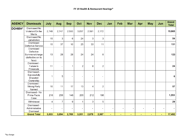| <b>AGENCY</b> | <b>Dismissals</b>                                                      | July  | Aug            | <b>Sep</b> | Oct            | <b>Nov</b> | <b>Dec</b>               | Jan | Feb | <b>Mar</b> | Apr                      | <b>May</b> | Jun            | <b>Grand</b><br><b>Total</b> |
|---------------|------------------------------------------------------------------------|-------|----------------|------------|----------------|------------|--------------------------|-----|-----|------------|--------------------------|------------|----------------|------------------------------|
| DOHMH*        | Dismissed No<br>Violation/On the<br>Merits                             | 2,748 | 2,747          | 2,550      | 3,057          | 2,591      | 2,172                    |     |     |            |                          |            |                | 15,865                       |
|               | Dismissed No<br>Jurisdiction                                           | 15    | 3              | 6          | 24             | 3          | 3                        |     |     |            |                          |            |                | 54                           |
|               | Dismissed<br>Defective Service                                         | 15    | 37             | 10         | 25             | 33         | 11                       |     |     |            |                          |            |                | 131                          |
|               | Dismissed<br>Defective<br>Summons/charge<br>(defective on its<br>face) | 13    | 28             | 28         | 24             | 24         | 6                        |     |     |            |                          |            |                | 123                          |
|               | Dismissed -<br>Failure to<br>Prosecute                                 | 11    |                | 1          | $\overline{c}$ | 8          | $\mathbf 2$              |     |     |            |                          |            |                | 24                           |
|               | Dismissed -<br>Successfully<br>Disputed<br>Ownership                   | 1     | 5              |            | $\sim$         |            |                          |     |     |            |                          |            |                | $6\overline{6}$              |
|               | Dismissed -<br>Wrong Party<br>Named                                    | 10    | 11             | 17         | 13             | 4          | $\overline{c}$           |     |     |            |                          |            |                | 57                           |
|               | Dismissed - No<br>Prima Facie<br>Case                                  | 216   | 256            | 148        | 205            | 212        | 166                      |     |     |            |                          |            |                | 1,203                        |
|               | Withdrawal                                                             | 4     | $\overline{7}$ | 9          | $\mathbf{1}$   | 3          | 5                        |     |     |            |                          |            |                | 29                           |
|               | Dismissed -<br>Administrative<br>Dismissal                             |       |                |            | $\blacksquare$ |            | $\overline{\phantom{a}}$ |     |     |            | $\overline{\phantom{a}}$ |            |                |                              |
|               | <b>Grand Total</b>                                                     | 3,033 | 3,094          | 2,769      | 3,351          | 2,878      | 2,367                    | ٠   | ÷.  | ٠          | ÷                        | ٠          | $\blacksquare$ | 17,492                       |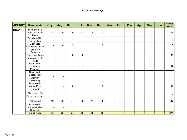| <b>AGENCY</b> | <b>Dismissals</b>                                                      | July | Aug            | <b>Sep</b>     | Oct                      | <b>Nov</b>     | <b>Dec</b>               | Jan            | Feb | Mar    | Apr            | <b>May</b> | Jun    | <b>Grand</b><br><b>Total</b> |
|---------------|------------------------------------------------------------------------|------|----------------|----------------|--------------------------|----------------|--------------------------|----------------|-----|--------|----------------|------------|--------|------------------------------|
| DCA*          | Dismissed No<br>Violation/On the<br>Merits                             | 24   | 39             | 39             | 33                       | 20             | 22                       |                |     |        |                |            |        | 177                          |
|               | Dismissed No<br>Jurisdiction                                           |      | 1              | 1              | $\overline{\phantom{a}}$ | $\overline{a}$ | $\overline{\phantom{a}}$ |                |     |        |                |            |        | $\overline{2}$               |
|               | Dismissed<br>Defective Service                                         |      | 4              | $\overline{2}$ | 1                        | $\blacksquare$ | $\overline{c}$           |                |     |        |                |            |        | 9                            |
|               | Dismissed<br>Defective<br>Summons/charge<br>(defective on its<br>face) | 1    | 1              | 3              | 9                        |                | 1                        |                |     |        |                |            |        | 15                           |
|               | Dismissed -<br>Failure to<br>Prosecute                                 |      | $\blacksquare$ | $\overline{c}$ | $\overline{7}$           |                | 3                        |                |     |        |                |            |        | 12                           |
|               | Dismissed -<br>Successfully<br>Disputed<br>Ownership                   |      |                |                | $\overline{a}$           |                |                          |                |     |        |                |            |        |                              |
|               | Dismissed -<br>Wrong Party<br>Named                                    | 1    |                | 6              | $\overline{\phantom{a}}$ |                | 3                        |                |     |        |                |            |        | 10                           |
|               | Dismissed - No<br>Prima Facie Case                                     |      | $\blacksquare$ |                | 1                        | 1              | $\mathbf 1$              |                |     |        |                |            |        | 3                            |
|               | Withdrawal                                                             | 19   | 28             | 21             | 39                       | 11             | 28                       |                |     |        |                |            |        | 146                          |
|               | Dismissed -<br>Administrative<br>Dismissal                             |      |                |                | $\overline{\phantom{a}}$ |                |                          | -              |     |        |                |            |        |                              |
|               | <b>Grand Total</b>                                                     | 45   | 73             | 74             | 90                       | 32             | 60                       | $\blacksquare$ | ۰   | $\sim$ | $\blacksquare$ | ٠          | $\sim$ | 374                          |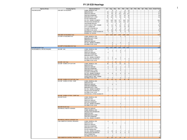| <b>Agency Group</b>           | <b>Issuing Agency</b>               | Dismissal Reason             |                |                | Jul   Aug   Sep                  | Oct            |                  |                          |  |  |  | Nov   Dec   Jan   Feb   Mar   Apr   May   June   Grand Total |
|-------------------------------|-------------------------------------|------------------------------|----------------|----------------|----------------------------------|----------------|------------------|--------------------------|--|--|--|--------------------------------------------------------------|
| <b>BUILDINGS(DOB)</b>         | DOB-DEPT OF BUILDINGS               | ADMIN. DISMISSAL ECB         |                |                | 6<br>$\overline{4}$              |                | 8                | 14                       |  |  |  | 32                                                           |
|                               |                                     | DEFECTIVE NOV                | 29             | 41             | 33                               | 41             | 56               | 76                       |  |  |  | 276                                                          |
|                               |                                     | DEFECTIVE SERVICE            | 73             | 92             | 61                               | 121            | 118              | 147                      |  |  |  | 612                                                          |
|                               |                                     | <b>DISPUTED OWNERSHIP</b>    | 42             | 45             | 37                               | 42             | 32               | 45                       |  |  |  | 243                                                          |
|                               |                                     | <b>IMPROPER PARTY CITED</b>  | 85             | 102            | 70                               | 96             | 91               | 85                       |  |  |  | 529                                                          |
|                               |                                     | NO ECB JURISDICTION          | $\overline{2}$ | $\overline{1}$ |                                  | $\overline{2}$ |                  | $\overline{\phantom{a}}$ |  |  |  | -7                                                           |
|                               |                                     | NO VIOL. DISMISS ON MERITS   | 616            | 644            | 506                              | 677            | 664              | 703                      |  |  |  | 3810                                                         |
|                               |                                     |                              |                |                |                                  |                |                  |                          |  |  |  |                                                              |
|                               |                                     | PROSECUTION WITHDRAWN        | 130            | 151            | 239                              | 120            | 163              | 107                      |  |  |  | 910                                                          |
|                               |                                     | UNASSIGNED REASON            | $\overline{2}$ |                | 9                                | $\Delta$       | $\overline{2}$   | $\overline{1}$           |  |  |  | 18                                                           |
|                               |                                     | WORK DONE BY PREV. OWNER     | 54             | 51             | 40                               | 45             | 37               | 28                       |  |  |  | 255                                                          |
|                               |                                     | <b>DATA CORRECTION</b>       | $\overline{2}$ | 11             | $\,$ 8                           | 18             | 19               | 28                       |  |  |  | 86                                                           |
|                               |                                     | <b>FAILURE TO PROSECUTE</b>  | $\mathbf{2}$   | 3              | 3                                | $\Delta$       | 8                | $\vert$ 3                |  |  |  | 23                                                           |
|                               |                                     | NO PRIMA FACIA CASE          | 29             | 66             | 30 <sup>1</sup>                  | 58             | 77               | 69                       |  |  |  | 329                                                          |
|                               |                                     | WITHDRAWAL AFTER ADJUDICATE  | 5              | 10             | $\overline{7}$                   | 8              | 5                | 8                        |  |  |  | 43                                                           |
|                               |                                     | <b>INTEREST OF JUSTICE</b>   |                | $\overline{1}$ |                                  |                |                  |                          |  |  |  | $\overline{1}$                                               |
|                               | <b>DOB-DEPT OF BUILDINGS Total</b>  |                              | $1071$         |                | 1224 1047                        | 1236           |                  | 1280 1316                |  |  |  | 7174                                                         |
|                               | 810-DEPT OF BUILDINGS 810           | ADMIN. DISMISSAL ECB         |                |                |                                  |                | $\mathbf{1}$     |                          |  |  |  |                                                              |
|                               |                                     |                              |                |                |                                  |                |                  |                          |  |  |  |                                                              |
|                               |                                     | <b>IMPROPER PARTY CITED</b>  |                |                |                                  |                |                  |                          |  |  |  |                                                              |
|                               |                                     | <b>DEFECTIVE NOV</b>         |                |                |                                  |                |                  |                          |  |  |  |                                                              |
|                               |                                     | DEFECTIVE SERVICE            |                |                |                                  |                |                  |                          |  |  |  |                                                              |
|                               |                                     | NO VIOL. DISMISS ON MERITS   |                |                | $\overline{2}$                   | $\overline{2}$ |                  | $\mathbf{2}$             |  |  |  | 6                                                            |
|                               |                                     | NO PRIMA FACIA CASE          |                |                | $\vert$ 1<br>$\overline{1}$      |                |                  | $\overline{1}$           |  |  |  | $\mathbf{3}$                                                 |
|                               | 810-DEPT OF BUILDINGS 810 Total     |                              |                | 3              | 1                                |                |                  | 3                        |  |  |  | 11                                                           |
| <b>BUILDINGS(DOB) Total</b>   |                                     |                              | $1071$         |                | 1227 1048                        | 1239           |                  | 1281 1319                |  |  |  | 7185                                                         |
| ENVIRONMENTAL PROTECTION(DEP) | 824-DEP - IWC                       | ADMIN. DISMISSAL ECB         | $\overline{1}$ |                |                                  |                |                  |                          |  |  |  |                                                              |
|                               |                                     | DEFECTIVE NOV                |                |                | $\overline{4}$                   | 8              | $\overline{2}$   |                          |  |  |  | 15                                                           |
|                               |                                     | DEFECTIVE SERVICE            | $\mathbf{2}$   |                |                                  | $\overline{1}$ |                  |                          |  |  |  | $\vert$ 3                                                    |
|                               |                                     | <b>DISPUTED OWNERSHIP</b>    |                |                |                                  |                |                  |                          |  |  |  |                                                              |
|                               |                                     | <b>IMPROPER PARTY CITED</b>  |                |                |                                  |                |                  |                          |  |  |  |                                                              |
|                               |                                     | NO VIOL. DISMISS ON MERITS   | $\mathbf{1}$   |                | $\mathfrak{p}$                   | $\overline{1}$ |                  |                          |  |  |  |                                                              |
|                               |                                     | PROSECUTION WITHDRAWN        | $\overline{4}$ |                | 2 <sup>2</sup><br>12             | $\mathbf{1}$   | 5                | $\mathbf{3}$             |  |  |  | 27                                                           |
|                               |                                     |                              |                |                |                                  |                |                  | 1                        |  |  |  |                                                              |
|                               |                                     | NO PRIMA FACIA CASE          |                |                |                                  |                |                  |                          |  |  |  |                                                              |
|                               | 824-DEP - IWC Total                 |                              | 8              |                | 16<br>5                          | 11             | 7                | $\overline{4}$           |  |  |  | 51                                                           |
|                               | 825-DEP - BUREAU OF CUST SRV        | ADMIN. DISMISSAL ECB         | 30             |                | 5 <sup>1</sup><br>$\vert$ 4      | 23             | 15               | 9                        |  |  |  | 86                                                           |
|                               |                                     | <b>DEFECTIVE NOV</b>         |                |                |                                  |                |                  | $\mathbf{1}$             |  |  |  | $\mathfrak{p}$                                               |
|                               |                                     | DEFECTIVE SERVICE            | 5              |                | 3<br>$\mathbf{1}$                | $\overline{1}$ | $\overline{2}$   | $\Delta$                 |  |  |  | 16                                                           |
|                               |                                     | <b>DISPUTED OWNERSHIP</b>    | $\overline{1}$ |                | $\overline{2}$                   | $\overline{1}$ |                  |                          |  |  |  | $\overline{4}$                                               |
|                               |                                     | <b>IMPROPER PARTY CITED</b>  |                |                | $\overline{2}$                   | $\overline{2}$ | 1                |                          |  |  |  | 5                                                            |
|                               |                                     | <b>FAILURE TO PROSECUTE</b>  |                |                |                                  |                | $\mathbf{1}$     |                          |  |  |  | $\overline{1}$                                               |
|                               |                                     | NO VIOL. DISMISS ON MERITS   | $\overline{4}$ |                | $\overline{2}$<br>8              | 5              | $\boldsymbol{8}$ | $\overline{4}$           |  |  |  | 31                                                           |
|                               |                                     | <b>PROSECUTION WITHDRAWN</b> |                |                | $\mathbf{1}$                     |                | $\mathbf{1}$     |                          |  |  |  | $\mathcal{P}$                                                |
|                               |                                     | WORK DONE BY PREV. OWNER     |                |                |                                  |                |                  |                          |  |  |  |                                                              |
|                               |                                     | NO PRIMA FACIA CASE          | $\overline{2}$ |                |                                  | っ              | $\overline{1}$   | っ                        |  |  |  | $\overline{q}$                                               |
|                               | 825-DEP - BUREAU OF CUST SRV Total  |                              | 42             | 19             | 12                               | 34             | 30 <sup>1</sup>  | 20 <sup>2</sup>          |  |  |  | 157                                                          |
|                               | 826-DEP - BUREAU OF ENV. COMP       | ADMIN. DISMISSAL ECB         |                |                | 1                                |                |                  |                          |  |  |  |                                                              |
|                               |                                     | <b>DEFECTIVE NOV</b>         |                |                |                                  |                |                  |                          |  |  |  |                                                              |
|                               |                                     | DEFECTIVE SERVICE            |                |                | $\overline{2}$<br>$\overline{1}$ |                |                  |                          |  |  |  |                                                              |
|                               |                                     | <b>DISPUTED OWNERSHIP</b>    |                |                |                                  |                |                  |                          |  |  |  |                                                              |
|                               |                                     | <b>IMPROPER PARTY CITED</b>  | $\mathbf{1}$   |                |                                  |                |                  |                          |  |  |  |                                                              |
|                               |                                     | NO VIOL. DISMISS ON MERITS   |                |                |                                  |                |                  |                          |  |  |  |                                                              |
|                               |                                     |                              | $\overline{1}$ |                |                                  | 1              |                  |                          |  |  |  |                                                              |
|                               |                                     | PROSECUTION WITHDRAWN        | $\overline{2}$ |                |                                  |                |                  |                          |  |  |  |                                                              |
|                               |                                     | NO PRIMA FACIA CASE          |                |                |                                  |                |                  |                          |  |  |  |                                                              |
|                               |                                     | WITHDRAWAL AFTER ADJUDICATE  |                |                |                                  |                |                  |                          |  |  |  |                                                              |
|                               | 826-DEP - BUREAU OF ENV. COMP Total |                              | $\overline{4}$ |                | $\overline{3}$<br>3              |                |                  |                          |  |  |  | 10                                                           |
|                               | 989-DEP POLICE                      | ADMIN, DISMISSAL ECB         |                |                |                                  |                |                  |                          |  |  |  |                                                              |
|                               |                                     | DEFECTIVE NOV                |                |                |                                  |                | 1                |                          |  |  |  |                                                              |
|                               |                                     | <b>DEFECTIVE SERVICE</b>     |                |                |                                  |                |                  |                          |  |  |  |                                                              |
|                               |                                     | <b>DISPUTED OWNERSHIP</b>    |                |                |                                  |                |                  |                          |  |  |  |                                                              |
|                               |                                     | NO VIOL. DISMISS ON MERITS   |                |                |                                  |                |                  |                          |  |  |  |                                                              |
|                               |                                     | NO PRIMA FACIA CASE          |                |                |                                  |                |                  |                          |  |  |  |                                                              |
|                               | 989-DEP POLICE Total                |                              |                |                |                                  |                |                  |                          |  |  |  |                                                              |
|                               | 999-MISCELLANEOUS AGENCIES          | DEFECTIVE SERVICE            |                |                |                                  |                |                  |                          |  |  |  |                                                              |
|                               |                                     | ADMIN. DISMISSAL ECB         |                |                |                                  |                |                  |                          |  |  |  |                                                              |
|                               |                                     |                              |                |                |                                  |                |                  |                          |  |  |  |                                                              |
|                               |                                     | PROSECUTION WITHDRAWN        |                |                |                                  |                |                  |                          |  |  |  |                                                              |
|                               |                                     | DEFECTIVE NOV                |                |                |                                  |                |                  |                          |  |  |  |                                                              |
|                               |                                     | <b>IMPROPER PARTY CITED</b>  |                |                |                                  |                |                  |                          |  |  |  |                                                              |
|                               |                                     | <b>DISPUTED OWNERSHIP</b>    |                |                |                                  |                |                  |                          |  |  |  |                                                              |
|                               |                                     | NO VIOL. DISMISS ON MERITS   |                |                |                                  |                |                  |                          |  |  |  |                                                              |
|                               | 999-MISCELLANEOUS AGENCIES Total    |                              |                |                |                                  |                |                  |                          |  |  |  |                                                              |
|                               | ASB-ASBESTOS CONTROL PROGRAM        | ADMIN. DISMISSAL ECB         | $\overline{1}$ |                |                                  |                |                  |                          |  |  |  |                                                              |
|                               |                                     | <b>DEFECTIVE NOV</b>         |                |                | $\overline{2}$<br>$\mathbf{1}$   |                | 1                |                          |  |  |  |                                                              |
|                               |                                     | DEFECTIVE SERVICE            |                |                |                                  |                |                  |                          |  |  |  |                                                              |
|                               |                                     |                              |                |                |                                  |                |                  |                          |  |  |  |                                                              |
|                               |                                     | <b>DISPUTED OWNERSHIP</b>    |                |                |                                  | $\overline{1}$ |                  |                          |  |  |  |                                                              |
|                               |                                     | <b>IMPROPER PARTY CITED</b>  | $\overline{2}$ |                |                                  | $\overline{1}$ |                  |                          |  |  |  | 3                                                            |
|                               |                                     | NO ECB JURISDICTION          |                |                |                                  |                |                  |                          |  |  |  |                                                              |
|                               |                                     | NO VIOL. DISMISS ON MERITS   | $\Delta$       | 14             | 8                                | $\overline{7}$ | $\overline{7}$   | $\overline{2}$           |  |  |  | 42                                                           |
|                               |                                     | PROSECUTION WITHDRAWN        | $\overline{5}$ |                | $\overline{7}$<br>$\mathbf{g}$   | 6              | 6                | 5 <sup>1</sup>           |  |  |  | 37                                                           |
|                               |                                     | DATA CORRECTION              |                |                |                                  |                |                  |                          |  |  |  |                                                              |
|                               |                                     | NO PRIMA FACIA CASE          |                |                | $\mathcal{P}$                    |                |                  |                          |  |  |  | $\mathcal{P}$                                                |
|                               | ASB-ASBESTOS CONTROL PROGRAM Total  |                              | 12             | 25             | 17                               | 15             | 14               | $\overline{7}$           |  |  |  | 90                                                           |
|                               |                                     |                              |                |                |                                  |                |                  |                          |  |  |  |                                                              |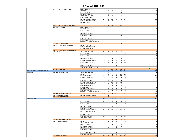|                                     | BAR-DEP BUREAU OF ENV COMPL         | ADMIN. DISMISSAL ECB                                |                         |                  |                        |                      |                                   |                 |  |  |                         |
|-------------------------------------|-------------------------------------|-----------------------------------------------------|-------------------------|------------------|------------------------|----------------------|-----------------------------------|-----------------|--|--|-------------------------|
|                                     |                                     | DEFECTIVE NOV                                       | $\overline{1}$          | 1 <sup>1</sup>   | 12                     |                      | $\vert$ 3                         | $\overline{1}$  |  |  | 18                      |
|                                     |                                     | DEFECTIVE SERVICE                                   |                         | $\mathcal{P}$    |                        | 1                    | $\mathbf{B}$                      |                 |  |  | 6                       |
|                                     |                                     | <b>DISPUTED OWNERSHIP</b>                           |                         | 1 <sup>1</sup>   |                        | $\mathbf{1}$         |                                   |                 |  |  | $\overline{2}$          |
|                                     |                                     | <b>IMPROPER PARTY CITED</b>                         |                         | 5 <sub>5</sub>   | $\mathcal{P}$          | 1                    | $\vert$ 3                         | $\mathbf{2}$    |  |  | 14                      |
|                                     |                                     | NO ECB JURISDICTION                                 | $\overline{1}$          |                  |                        |                      |                                   |                 |  |  | $\overline{1}$          |
|                                     |                                     | NO VIOL. DISMISS ON MERITS                          | 17                      | 13               | 10 <sup>1</sup>        | 18                   | 41                                | 29              |  |  | 128                     |
|                                     |                                     | PROSECUTION WITHDRAWN                               |                         | $\vert$ 1        | $\left  \cdot \right $ |                      |                                   |                 |  |  | $\overline{4}$          |
|                                     |                                     | <b>FAILURE TO PROSECUTE</b>                         |                         |                  |                        |                      |                                   | $\mathbf{1}$    |  |  |                         |
|                                     |                                     | NO PRIMA FACIA CASE                                 |                         | $\overline{1}$   |                        | $\mathbf{1}$         | $\overline{7}$                    | $\mathbf{2}$    |  |  | 11                      |
|                                     | BAR-DEP BUREAU OF ENV COMPL Total   |                                                     | 20                      | 24               | 27                     | 22                   | 57                                | 35 <sup>5</sup> |  |  | 185                     |
|                                     | 803-RIGHT TO KNOW                   | ADMIN. DISMISSAL ECB                                | $\overline{1}$          |                  |                        | $\mathbf{1}$         | $\mathbf{1}$                      |                 |  |  | 3                       |
|                                     |                                     | DEFECTIVE NOV                                       |                         |                  |                        |                      | $\mathbf{1}$                      |                 |  |  |                         |
|                                     |                                     | DEFECTIVE SERVICE                                   | 1                       |                  |                        |                      |                                   |                 |  |  |                         |
|                                     |                                     | <b>INTEREST OF JUSTICE</b>                          |                         |                  |                        |                      |                                   |                 |  |  |                         |
|                                     |                                     | <b>IMPROPER PARTY CITED</b>                         |                         |                  |                        |                      |                                   |                 |  |  |                         |
|                                     |                                     | NO ECB JURISDICTION                                 |                         |                  |                        |                      | $\vert$ 3                         |                 |  |  | з                       |
|                                     |                                     | NO VIOL. DISMISS ON MERITS                          |                         |                  | 1                      |                      | $\mathbf{1}$                      |                 |  |  |                         |
|                                     |                                     | NO PRIMA FACIA CASE                                 |                         |                  |                        |                      |                                   |                 |  |  |                         |
|                                     |                                     | PROSECUTION WITHDRAWN                               |                         |                  |                        |                      |                                   |                 |  |  |                         |
|                                     |                                     | WITHDRAWAL AFTER ADJUDICATE                         |                         |                  |                        |                      |                                   |                 |  |  |                         |
|                                     | 803-RIGHT TO KNOW Total             |                                                     | $\overline{2}$          |                  | 1                      |                      | 6                                 |                 |  |  | 10                      |
|                                     | 804-DEP - HAZARDOUS MATERIALS       | DEFECTIVE SERVICE                                   |                         |                  |                        |                      |                                   |                 |  |  |                         |
|                                     |                                     |                                                     |                         |                  |                        |                      |                                   |                 |  |  |                         |
|                                     |                                     | PROSECUTION WITHDRAWN<br>NO VIOL. DISMISS ON MERITS |                         |                  |                        |                      |                                   |                 |  |  |                         |
|                                     |                                     |                                                     |                         |                  |                        |                      |                                   |                 |  |  |                         |
|                                     | 804-DEP - HAZARDOUS MATERIALS Total |                                                     |                         |                  |                        |                      |                                   |                 |  |  |                         |
|                                     | 822-DEP - BWSO                      | ADMIN. DISMISSAL ECB                                | 35                      | 29               | $\left  \right $       | 5 <sup>1</sup>       | 6 <sup>5</sup>                    | 3 <sup>1</sup>  |  |  | 80                      |
|                                     |                                     | DEFECTIVE NOV                                       |                         |                  |                        | $\mathbf{1}$         |                                   | 3 <sup>1</sup>  |  |  | $\overline{4}$          |
|                                     |                                     | DEFECTIVE SERVICE                                   | 1                       |                  | $\mathbf{1}$           |                      | $\overline{7}$                    |                 |  |  | 9                       |
|                                     |                                     | <b>DISPUTED OWNERSHIP</b>                           | $\overline{3}$          | $\mathcal{P}$    | $\overline{1}$         | $\mathbf{1}$         |                                   | 8 <sup>1</sup>  |  |  | 15                      |
|                                     |                                     | <b>IMPROPER PARTY CITED</b>                         | $\overline{1}$          |                  | $\vert$ 4              | $\vert$              | 6                                 | 1               |  |  | 16                      |
|                                     |                                     | NO VIOL. DISMISS ON MERITS                          | $\overline{9}$          | $\vert$          | 8 <sup>1</sup>         | 8 <sup>1</sup>       | 6                                 | 12              |  |  | 47                      |
|                                     |                                     | PROSECUTION WITHDRAWN                               | $\boldsymbol{8}$        | $\vert$          | 14                     | 22                   | 13                                | 15              |  |  | 76                      |
|                                     |                                     | UNA SSIGNED REASON                                  |                         |                  |                        | -31                  |                                   |                 |  |  | $\overline{3}$          |
|                                     |                                     | NO PRIMA FACIA CASE                                 |                         |                  |                        | $\mathcal{P}$        | $\overline{1}$                    |                 |  |  | $\vert$ 3               |
|                                     |                                     |                                                     |                         |                  |                        |                      |                                   |                 |  |  | $\overline{1}$          |
|                                     |                                     | WITHDRAWAL AFTER ADJUDICATE                         | $\overline{1}$          |                  |                        |                      |                                   |                 |  |  |                         |
|                                     | 822-DEP - BWSO Total                |                                                     | 58                      | 39               | 30                     | 46                   | 39 <sup>°</sup>                   | 42              |  |  | 254                     |
| ENVIRONMENTAL PROTECTION(DEP) Total |                                     |                                                     | 146                     | 115              | 106                    | 130                  | 154                               | 108             |  |  | 759                     |
| FIRE(FDNY)                          | FIR-FIRE DEPARTMENT NYC             | ADMIN. DISMISSAL ECB                                |                         | $\vert$          |                        | $\overline{2}$       | $\overline{1}$                    | 1               |  |  | 8                       |
|                                     |                                     | <b>DEFECTIVE NOV</b>                                | 8                       | 8                | $\overline{7}$         | 10 <sup>1</sup>      | 10                                | 11              |  |  | 54                      |
|                                     |                                     | DEFECTIVE SERVICE                                   | 52                      | 46               | 40                     | 38                   | 38                                | 38              |  |  | 252                     |
|                                     |                                     | <b>DISPUTED OWNERSHIP</b>                           | $\mathbf{g}$            | 8                | 6                      | $\overline{a}$       | 5                                 | 6               |  |  | 37                      |
|                                     |                                     | <b>IMPROPER PARTY CITED</b>                         | $\overline{9}$          | 13               | 11                     | 15                   | 17                                | 24              |  |  | 89                      |
|                                     |                                     | NO ECB JURISDICTION                                 |                         | -11              | $\left 2\right $       | $\mathcal{P}$        | $\overline{2}$                    | $\vert$ 1       |  |  | 8                       |
|                                     |                                     | NO VIOL. DISMISS ON MERITS                          | 33                      | 49               | 35                     | 55                   | 36                                | 37              |  |  | 245                     |
|                                     |                                     | PROSECUTION WITHDRAWN                               | $\overline{4}$          | $\mathbf{B}$     | 5 <sup>1</sup>         | 15                   | $\vert$ 4                         | 8 <sup>1</sup>  |  |  | 44                      |
|                                     |                                     | UNASSIGNED REASON                                   |                         |                  | $\vert$ 3              | 5 <sub>5</sub>       | $\overline{2}$                    |                 |  |  |                         |
|                                     |                                     |                                                     |                         |                  |                        |                      |                                   |                 |  |  | 10                      |
|                                     |                                     | <b>DATA CORRECTION</b>                              |                         |                  |                        |                      |                                   | 1               |  |  | $\overline{1}$          |
|                                     |                                     | <b>FAILURE TO PROSECUTE</b>                         |                         | 11               | $\overline{2}$         | $5 - 5$              | 3                                 | $6 \mid$        |  |  | $27\,$                  |
|                                     |                                     | NO PRIMA FACIA CASE                                 | 6                       | 10               | $\overline{4}$         | $\overline{9}$       | 9                                 | 8 <sup>1</sup>  |  |  | 46                      |
|                                     |                                     | WITHDRAWAL AFTER ADJUDICATE                         |                         | $\overline{1}$   |                        | $\overline{1}$       |                                   | $\overline{1}$  |  |  | $\overline{\mathbf{z}}$ |
|                                     | FIR-FIRE DEPARTMENT NYC Total       |                                                     | 120                     | 159              | 115                    | $161$                | $127$                             | 142             |  |  | 824                     |
|                                     | 823-FIRE DEPARTMENT 823             | NO VIOL. DISMISS ON MERITS                          |                         | 1                |                        |                      |                                   |                 |  |  | $\overline{1}$          |
|                                     | 823-FIRE DEPARTMENT 823 Total       |                                                     |                         | -1               |                        |                      |                                   |                 |  |  |                         |
| FIRE(FDNY) Total                    |                                     |                                                     | 120                     | 160              | $115$                  | 161                  | 127                               | 142             |  |  | 825                     |
| HEALTH(DOHMH)                       | 816-DOH/MENTAL HEALTH               | ADMIN. DISMISSAL ECB                                | 5                       | 6                | $\overline{1}$         |                      | $\mathcal{P}$                     | $\mathbf{1}$    |  |  | 15                      |
|                                     |                                     | <b>DEFECTIVE NOV</b>                                | 18                      | 28               | $\mathbf{8}$           | 9                    | 10 <sup>1</sup>                   | $\mathbf{g}$    |  |  | 82                      |
|                                     |                                     | DEFECTIVE SERVICE                                   | $\overline{\mathbf{3}}$ | $\left 3\right $ | 17                     | $\vert$              | $\overline{7}$                    | $6 \mid$        |  |  | 40                      |
|                                     |                                     | <b>DISPUTED OWNERSHIP</b>                           |                         |                  |                        |                      |                                   |                 |  |  |                         |
|                                     |                                     | <b>IMPROPER PARTY CITED</b>                         |                         |                  | $\vert$ 3              |                      | $\overline{1}$                    |                 |  |  | $\Delta$                |
|                                     |                                     | NO ECB JURISDICTION                                 |                         |                  |                        |                      |                                   | $\mathbf{1}$    |  |  | $\overline{1}$          |
|                                     |                                     | NO VIOL. DISMISS ON MERITS                          | 80                      | 95               | 84                     | 88                   | 94                                | 119             |  |  | 560                     |
|                                     |                                     | PROSECUTION WITHDRAWN                               | $\overline{1}$          |                  |                        |                      |                                   |                 |  |  |                         |
|                                     |                                     |                                                     |                         |                  |                        |                      |                                   |                 |  |  |                         |
|                                     |                                     | UNA SSIGNED REASON                                  |                         |                  |                        |                      |                                   |                 |  |  |                         |
|                                     |                                     | <b>FAILURE TO PROSECUTE</b>                         | 18                      | 18               |                        | 15                   | 14                                |                 |  |  | 86                      |
|                                     |                                     | NO PRIMA FACIA CASE                                 |                         |                  | 11                     |                      |                                   | 10              |  |  |                         |
|                                     |                                     | <b>INTEREST OF JUSTICE</b>                          |                         |                  |                        |                      |                                   |                 |  |  |                         |
|                                     | 816-DOH/MENTAL HEALTH Total         |                                                     | 125                     | 150              | $124$                  | 116                  | 128                               | 146             |  |  | 789                     |
|                                     | 812-VETERINARY DOHMH                | <b>DEFECTIVE NOV</b>                                | $\mathbf{3}$            | 1                | $\left  \right $       | $\vert$ 1            |                                   | 1               |  |  | 8                       |
|                                     |                                     | ADMIN. DISMISSAL ECB                                |                         |                  |                        |                      |                                   | 1               |  |  |                         |
|                                     |                                     | DEFECTIVE SERVICE                                   |                         | $\overline{2}$   | $\overline{2}$         | $\overline{7}$       | $2\vert$                          | $\overline{2}$  |  |  | 15                      |
|                                     |                                     | <b>DISPUTED OWNERSHIP</b>                           |                         |                  |                        | $\mathbf{1}$         | $\mathbf{1}$                      |                 |  |  | $\overline{c}$          |
|                                     |                                     | <b>IMPROPER PARTY CITED</b>                         |                         | $\overline{1}$   | $\overline{1}$         | $\mathcal{P}$        |                                   | 1               |  |  | 5                       |
|                                     |                                     | <b>NO ECB JURISDICTION</b>                          |                         |                  |                        |                      |                                   |                 |  |  |                         |
|                                     |                                     | NO VIOL. DISMISS ON MERITS                          | 32                      | 52               | 45                     | 50                   | 47                                | 14              |  |  | 240                     |
|                                     |                                     | <b>PROSECUTION WITHDRAWN</b>                        | $\overline{1}$          | $\overline{2}$   | 11                     | 6 <sup>1</sup>       | $\mathbf{1}$                      | 1               |  |  | 22                      |
|                                     | 812-VETERINARY DOHMH Total          | NO PRIMA FACIA CASE                                 | $\overline{1}$<br>37    | 58               | $\Delta$<br>65         | 5 <sup>1</sup><br>72 | $\overline{2}$<br>53 <sup>1</sup> | $\vert$ 4<br>24 |  |  | 16<br>309               |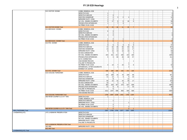|                      | 813-VECTOR DOHMH                        | ADMIN. DISMISSAL ECB        |                              |                |                   |                              |                |                |  |  |  |                            |
|----------------------|-----------------------------------------|-----------------------------|------------------------------|----------------|-------------------|------------------------------|----------------|----------------|--|--|--|----------------------------|
|                      |                                         | DEFECTIVE NOV               | 1                            |                |                   |                              |                |                |  |  |  | 1                          |
|                      |                                         | DEFECTIVE SERVICE           | 1                            | 3 <sup>1</sup> |                   |                              |                |                |  |  |  | $\vert$                    |
|                      |                                         | <b>DISPUTED OWNERSHIP</b>   | 1                            | 2              | $\lvert 3 \rvert$ | $\overline{2}$               | 4 <sup>1</sup> |                |  |  |  | 12                         |
|                      |                                         |                             |                              |                |                   |                              |                |                |  |  |  |                            |
|                      |                                         | <b>IMPROPER PARTY CITED</b> | 1                            | $\mathbf{1}$   |                   |                              |                | $\vert$ 1      |  |  |  | $\overline{3}$             |
|                      |                                         | NO VIOL. DISMISS ON MERITS  | 5 <sup>1</sup>               | 17             | 8 <sup>1</sup>    | 6 <sup>1</sup>               | 16             | $6 \mid$       |  |  |  | 58                         |
|                      |                                         | PROSECUTION WITHDRAWN       | 1                            |                | $\overline{7}$    | 3                            |                |                |  |  |  | 11                         |
|                      |                                         | NO PRIMA FACIA CASE         |                              |                |                   |                              |                |                |  |  |  |                            |
|                      |                                         |                             |                              |                |                   |                              |                |                |  |  |  |                            |
|                      | 813-VECTOR DOHMH Total                  |                             | 10                           | 23             | 18                | 11                           | 20             | $\overline{7}$ |  |  |  | 89                         |
|                      | 814-BED BUGS DOHMH                      | ADMIN. DISMISSAL ECB        |                              |                |                   |                              |                |                |  |  |  |                            |
|                      |                                         | DEFECTIVE NOV               | 6                            | 3 <sup>1</sup> |                   |                              |                |                |  |  |  |                            |
|                      |                                         | DEFECTIVE SERVICE           |                              | 1              |                   |                              |                |                |  |  |  | 1                          |
|                      |                                         |                             |                              |                |                   |                              |                |                |  |  |  |                            |
|                      |                                         | NO VIOL. DISMISS ON MERITS  | 1                            | 2              |                   |                              |                |                |  |  |  | $\vert$ 3                  |
|                      |                                         | PROSECUTION WITHDRAWN       |                              |                |                   |                              |                |                |  |  |  |                            |
|                      |                                         | NO PRIMA FACIA CASE         | 1                            | 2              |                   | 1                            |                |                |  |  |  | $\vert$                    |
|                      | 814-BED BUGS DOHMH Total                |                             | 8 <sup>1</sup>               | 8 <sup>1</sup> |                   | $\vert$ 1                    |                |                |  |  |  | 17                         |
|                      |                                         |                             |                              |                |                   |                              |                |                |  |  |  |                            |
|                      | 815-PCS DOHMH                           | ADMIN. DISMISSAL ECB        | 1                            |                | $\overline{2}$    |                              |                | $\vert$ 1      |  |  |  | $\vert$                    |
|                      |                                         | DEFECTIVE NOV               | 8 <sup>1</sup>               | 5 <sup>2</sup> | 5 <sup>5</sup>    | $\left  \frac{3}{2} \right $ | 8 <sup>1</sup> | 8 <sup>1</sup> |  |  |  | 37                         |
|                      |                                         | DEFECTIVE SERVICE           | 72                           | 62             | 36                | 56                           | 60             | 61             |  |  |  | 347                        |
|                      |                                         | DISPUTED OWNERSHIP          | 10                           | 13             | 14                | 22                           | 11             | 17             |  |  |  | 87                         |
|                      |                                         |                             |                              |                |                   |                              |                |                |  |  |  |                            |
|                      |                                         | <b>IMPROPER PARTY CITED</b> | 6                            | 15             | 10                | 16                           | 18             | $\vert$        |  |  |  | 69                         |
|                      |                                         | NO ECB JURISDICTION         |                              | 6 <sup>1</sup> | $\vert$ 1         | 1                            | $\mathbf{1}$   | 4 <sup>1</sup> |  |  |  | 13                         |
|                      |                                         | NO VIOL. DISMISS ON MERITS  | 243                          | 251            | 213               | 266                          | 223            | 169            |  |  |  | 1365                       |
|                      |                                         | PROSECUTION WITHDRAWN       | 5 <sup>5</sup>               | 3 <sup>1</sup> | 60                | 46                           | 40             | 57             |  |  |  | 211                        |
|                      |                                         |                             |                              |                |                   |                              |                |                |  |  |  |                            |
|                      |                                         | DATA CORRECTION             |                              |                |                   | $\vert$                      |                |                |  |  |  | $\vert$ 1                  |
|                      |                                         | UNA SSIGNED REASON          |                              |                |                   |                              |                | 1              |  |  |  | $\vert$ 1                  |
|                      |                                         | <b>FAILURE TO PROSECUTE</b> |                              |                |                   |                              | $\overline{1}$ |                |  |  |  | $\vert$ 1                  |
|                      |                                         | NO PRIMA FACIA CASE         | $\left  \frac{3}{2} \right $ | 14             | $\overline{7}$    | 15                           | $\overline{7}$ | 6 <sup>1</sup> |  |  |  | 52                         |
|                      |                                         |                             |                              |                |                   |                              |                |                |  |  |  |                            |
|                      |                                         | WITHDRAWAL AFTER ADJUDICATE |                              |                | $\mathbf{1}$      |                              | 2              |                |  |  |  | $\vert$ 3                  |
|                      |                                         | <b>INTEREST OF JUSTICE</b>  |                              |                |                   |                              |                |                |  |  |  |                            |
|                      | 815-PCS DOHMH Total                     |                             | 348                          | 369            | 349               | 426                          | 371            | 328            |  |  |  | 2191                       |
|                      | 818-COOLING TWRDOHMH                    | ADMIN. DISMISSAL ECB        |                              | 2 <sup>1</sup> |                   |                              |                |                |  |  |  | $\vert$ 2                  |
|                      |                                         |                             |                              |                |                   |                              |                |                |  |  |  |                            |
|                      |                                         | DEFECTIVE NOV               | 228                          | 268            | 44                | 76                           | 109            | 96             |  |  |  | 821                        |
|                      |                                         | DEFECTIVE SERVICE           | 11                           | 12             | $\mathbf{1}$      | $\vert$ 3                    | 5 <sup>5</sup> | 10             |  |  |  | 42                         |
|                      |                                         | DISPUTED OWNERSHIP          |                              | 8 <sup>1</sup> |                   |                              | 12             |                |  |  |  | 20                         |
|                      |                                         |                             |                              |                |                   |                              |                |                |  |  |  |                            |
|                      |                                         | <b>IMPROPER PARTY CITED</b> | 84                           | 22             | 31                | 44                           | 45             | 17             |  |  |  | 243                        |
|                      |                                         | NO ECB JURISDICTION         | 10                           |                | 1                 | $\mathbf{3}$                 | $\overline{1}$ |                |  |  |  | 15                         |
|                      |                                         | NO VIOL. DISMISS ON MERITS  | 392                          | 425            | 457               | 475                          | 647            | 508            |  |  |  | 2904                       |
|                      |                                         | PROSECUTION WITHDRAWN       | 21                           | 8 <sup>1</sup> | 8 <sup>1</sup>    |                              | 17             | 44             |  |  |  | 98                         |
|                      |                                         |                             |                              |                |                   |                              |                |                |  |  |  |                            |
|                      |                                         | <b>FAILURE TO PROSECUTE</b> |                              | 5 <sup>1</sup> |                   |                              |                |                |  |  |  | 5 <sup>5</sup>             |
|                      |                                         | NO PRIMA FACIA CASE         | 1012                         | 1347           | 696               | 850                          | 945            | 509            |  |  |  | 5359                       |
|                      |                                         | UNA SSIGNED REASON          |                              |                |                   |                              | $\overline{1}$ |                |  |  |  | 1                          |
|                      | 818-COOLING TWRDOHMH Total              |                             | 1758                         |                | 2097 1238         | 1451                         | 1782 1184      |                |  |  |  | 9510                       |
|                      |                                         |                             |                              |                |                   |                              |                |                |  |  |  |                            |
|                      | 998-PETER COOPER VLG STY TWN            | DEFECTIVE NOV               | 1                            |                |                   |                              |                |                |  |  |  | 1                          |
|                      |                                         |                             |                              |                |                   |                              |                | $\vert$ 1      |  |  |  |                            |
|                      |                                         | ADMIN. DISMISSAL ECB        |                              |                |                   |                              |                |                |  |  |  | $\overline{1}$             |
|                      |                                         | DEFECTIVE SERVICE           |                              | 1              |                   |                              |                |                |  |  |  |                            |
|                      |                                         |                             |                              |                |                   |                              |                |                |  |  |  |                            |
|                      |                                         | <b>IMPROPER PARTY CITED</b> |                              |                |                   |                              | $\mathbf{1}$   |                |  |  |  | 1                          |
|                      |                                         | NO PRIMA FACIA CASE         |                              | 2 <sup>1</sup> |                   |                              |                |                |  |  |  | $\vert$ 2                  |
|                      |                                         | NO VIOL. DISMISS ON MERITS  |                              | 1              |                   |                              | $\overline{2}$ |                |  |  |  |                            |
|                      | 998-PETER COOPER VLG STY TWN Total      |                             | $\overline{1}$               | $\overline{4}$ |                   |                              | 3              | $\overline{1}$ |  |  |  |                            |
|                      |                                         |                             |                              |                |                   |                              |                |                |  |  |  |                            |
| HEALTH(DOHMH) Total  |                                         |                             | 2287                         |                |                   | 2709 1794 2077               | 2357 1690      |                |  |  |  |                            |
| LANDMARKS(LPC)       | LPC-LANDMARK PRESERVATION               | DEFECTIVE NOV               |                              |                |                   |                              |                |                |  |  |  |                            |
|                      |                                         | DEFECTIVE SERVICE           |                              |                |                   |                              |                |                |  |  |  |                            |
|                      |                                         |                             |                              |                |                   |                              |                |                |  |  |  |                            |
|                      |                                         | <b>DISPUTED OWNERSHIP</b>   |                              |                |                   |                              |                |                |  |  |  |                            |
|                      |                                         | NO VIOL. DISMISS ON MERITS  |                              |                |                   |                              |                |                |  |  |  |                            |
|                      |                                         | <b>IMPROPER PARTY CITED</b> |                              |                |                   |                              |                |                |  |  |  |                            |
|                      |                                         | <b>FAILURE TO PROSECUTE</b> |                              |                |                   |                              |                |                |  |  |  |                            |
|                      | <b>LPC-LANDMARK PRESERV ATION Total</b> |                             |                              |                |                   |                              |                |                |  |  |  | $\mathbf{3}$<br>9<br>12914 |
|                      |                                         |                             |                              |                |                   |                              |                |                |  |  |  |                            |
|                      | 802-HPD                                 | <b>IMPROPER PARTY CITED</b> |                              |                |                   |                              |                |                |  |  |  |                            |
| LANDMARKS(LPC) Total | 802-HPD Total                           |                             |                              |                |                   |                              |                |                |  |  |  |                            |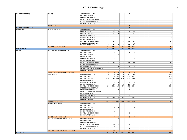| MARKET CASES(BIC)              | 850-BIC                             | ADMIN. DISMISSAL ECB                                      |                   |                |                 |                 | 1               |                 |  |  |  | $\overline{1}$          |
|--------------------------------|-------------------------------------|-----------------------------------------------------------|-------------------|----------------|-----------------|-----------------|-----------------|-----------------|--|--|--|-------------------------|
|                                |                                     | DEFECTIVE SERVICE                                         |                   |                |                 | $\mathbf{1}$    |                 |                 |  |  |  | $\mathbf{1}$            |
|                                |                                     | <b>IMPROPER PARTY CITED</b>                               |                   |                |                 |                 |                 |                 |  |  |  |                         |
|                                |                                     | NO VIOL. DISMISS ON MERITS                                |                   |                |                 |                 |                 | 1               |  |  |  | $\overline{1}$          |
|                                |                                     | PROSECUTION WITHDRAWN                                     |                   |                |                 |                 |                 |                 |  |  |  |                         |
|                                |                                     | NO PRIMA FACIA CASE                                       |                   |                |                 |                 |                 |                 |  |  |  |                         |
|                                | 850-BIC Total                       |                                                           |                   |                |                 | $\mathbf{1}$    | $\mathbf{1}$    | 1               |  |  |  | 3                       |
| <b>MARKET CASES(BIC) Total</b> |                                     |                                                           |                   |                |                 | $\overline{1}$  | $\vert$ 1       | $\vert$ 1       |  |  |  | $\overline{\mathbf{3}}$ |
| PARKS(DPR)                     | 846-DEPT OF PARKS                   | ADMIN. DISMISSAL ECB                                      |                   | 3 <sup>2</sup> |                 | $\overline{2}$  |                 | 1 <sup>1</sup>  |  |  |  | 6                       |
|                                |                                     | DEFECTIVE NOV                                             | 12                | 13             | 8 <sup>1</sup>  | 11              | 23              | 15              |  |  |  | 82                      |
|                                |                                     | DEFECTIVE SERVICE                                         | 9                 | 11             | 14              | 8 <sup>1</sup>  | 10 <sup>1</sup> | 12              |  |  |  | 64                      |
|                                |                                     | <b>DISPUTED OWNERSHIP</b>                                 |                   |                |                 |                 |                 |                 |  |  |  |                         |
|                                |                                     | <b>IMPROPER PARTY CITED</b>                               | $\vert$ 1         | 1              |                 |                 | 1 <sup>1</sup>  |                 |  |  |  | $\overline{\mathbf{3}}$ |
|                                |                                     | NO ECB JURISDICTION                                       |                   |                |                 |                 |                 |                 |  |  |  |                         |
|                                |                                     | NO VIOL. DISMISS ON MERITS                                | 71                | 80             | 57              | 61              | 65              | 55              |  |  |  | 389                     |
|                                |                                     | PROSECUTION WITHDRAWN                                     |                   |                |                 | 22              |                 | $\vert$ 1<br>28 |  |  |  | $\overline{1}$          |
|                                |                                     | NO PRIMA FACIA CASE                                       | 20                | 40             | 25              |                 | 26              |                 |  |  |  | 161<br>706              |
|                                | 846-DEPT OF PARKS Total             |                                                           | 113<br>113        | 148<br>148     | 104<br>104      | 104<br>104      | 125<br>125      | 112<br>$112$    |  |  |  | 706                     |
| PARKS(DPR) Total<br>POLICE     | 055-NYPD TRANSPORT INTELL DIV       | ADMIN. DISMISSAL ECB                                      |                   |                | 5 <sup>5</sup>  |                 |                 |                 |  |  |  | 5                       |
|                                |                                     | DEFECTIVE NOV                                             | 15                | 6 <sup>1</sup> | 14              | 3               | $\overline{4}$  | 6               |  |  |  | 48                      |
|                                |                                     | DEFECTIVE SERVICE                                         | 14                | 1              | 1               | 1               |                 | 1               |  |  |  | 18                      |
|                                |                                     | <b>DISPUTED OWNERSHIP</b>                                 |                   |                |                 |                 |                 | 1               |  |  |  | $\mathbf{1}$            |
|                                |                                     | <b>IMPROPER PARTY CITED</b>                               | 10                | $\vert$        | 1               | 3 <sup>2</sup>  |                 | 3 <sup>1</sup>  |  |  |  | 21                      |
|                                |                                     | NO ECB JURISDICTION                                       |                   |                |                 |                 |                 |                 |  |  |  |                         |
|                                |                                     | NO VIOL. DISMISS ON MERITS                                | 53                | 48             | 43              | 50 <sub>1</sub> | 41              | 50              |  |  |  | 285                     |
|                                |                                     | PROSECUTION WITHDRAWN                                     |                   |                |                 |                 |                 |                 |  |  |  |                         |
|                                |                                     | NO PRIMA FACIA CASE                                       | $\vert$           | $\vert$        | 10 <sup>1</sup> | 5 <sup>5</sup>  | 9               | 8 <sup>1</sup>  |  |  |  | 40                      |
|                                |                                     | WITHDRAWAL AFTER ADJUDICATE                               | $\mathbf{1}$      |                |                 |                 |                 |                 |  |  |  |                         |
|                                |                                     | <b>INTEREST OF JUSTICE</b>                                |                   |                |                 |                 |                 | 1               |  |  |  | $\overline{1}$          |
|                                | 055-NYPD TRANSPORT INTELL DIV Total |                                                           | 97                | 63             | 74              | 62              | 54              | 70              |  |  |  | 420                     |
|                                | 056-POLICE DEPT                     | ADMIN. DISMISSAL ECB                                      | 339               | 358            | 324             | 297             | 166             | 44              |  |  |  | 1528                    |
|                                |                                     | DEFECTIVE NOV                                             | 373               | 365            | 422             | 389             | 312             | 297             |  |  |  | 2158                    |
|                                |                                     | DEFECTIVE SERVICE                                         | 1063              | 1549           | 1880            | 2256            | 1612            | 1148            |  |  |  | 9508                    |
|                                |                                     | DISPUTED OWNERSHIP                                        |                   |                |                 |                 |                 |                 |  |  |  |                         |
|                                |                                     | <b>IMPROPER PARTY CITED</b>                               | $\vert$           | $\overline{4}$ | 5 <sub>5</sub>  | $\overline{1}$  | 6               | 3 <sup>5</sup>  |  |  |  | 23                      |
|                                |                                     | NO ECB JURISDICTION                                       | $\overline{7}$    | 15             | 19              | 13              | 25              | 26              |  |  |  | 105                     |
|                                |                                     | NO VIOL. DISMISS ON MERITS                                | 193               | 222            | 245             | 259             | 159             | 160             |  |  |  | 1238                    |
|                                |                                     | PROSECUTION WITHDRAWN                                     | 6                 |                |                 | 1               | $\vert$ 4       |                 |  |  |  | 11                      |
|                                |                                     | UNASSIGNED REASON                                         | 1                 | 1 <sup>1</sup> | $\overline{2}$  | $\overline{2}$  | 1               |                 |  |  |  | $\overline{7}$          |
|                                |                                     | WORK DONE BY PREV. OWNER<br><b>DATA CORRECTION</b>        |                   |                |                 |                 |                 |                 |  |  |  |                         |
|                                |                                     | <b>FAILURE TO PROSECUTE</b>                               | 3                 |                |                 | $\overline{2}$  | 4               |                 |  |  |  | 9                       |
|                                |                                     | NO PRIMA FACIA CASE                                       | 123               | 149            | 138             | 139             | 119             | 128             |  |  |  | 796                     |
|                                |                                     | <b>INTEREST OF JUSTICE</b>                                |                   |                |                 |                 |                 |                 |  |  |  |                         |
|                                | 056-POLICE DEPT Total               |                                                           | 2112              |                | 2663 3035       | 3359            |                 | 2408 1806       |  |  |  | 15383                   |
|                                | 985-SEAGATE POLICE                  | ADMIN. DISMISSAL ECB                                      |                   |                |                 |                 |                 |                 |  |  |  |                         |
|                                |                                     | DEFECTIVE NOV                                             |                   |                |                 |                 |                 |                 |  |  |  |                         |
|                                |                                     | DEFECTIVE SERVICE                                         |                   | $\vert$        | 10              | 3 <sup>1</sup>  |                 | 5 <sup>1</sup>  |  |  |  | 22                      |
|                                |                                     | <b>DISPUTED OWNERSHIP</b>                                 |                   |                |                 |                 |                 |                 |  |  |  |                         |
|                                |                                     | NO ECB JURISDICTION                                       |                   | $\vert$ 1      |                 |                 |                 |                 |  |  |  | $\mathbf{1}$            |
|                                |                                     | NO VIOL. DISMISS ON MERITS                                |                   |                |                 | 2               | $\mathbf{1}$    |                 |  |  |  | 3                       |
|                                |                                     | NO PRIMA FACIA CASE                                       |                   |                |                 |                 |                 |                 |  |  |  |                         |
|                                | 985-SEAGATE POLICE Total            |                                                           |                   | 5 <sup>1</sup> | 10              | 5 <sup>1</sup>  | 1               | 5 <sup>1</sup>  |  |  |  | 26                      |
|                                | 002-MAYORS OFF OF MIDTOWN ENF       | DEFECTIVE SERVICE                                         | 1                 | 1 <sup>1</sup> | 1               |                 |                 |                 |  |  |  | 3                       |
|                                |                                     | DEFECTIVE NOV                                             |                   | 1 <sup>1</sup> |                 |                 |                 |                 |  |  |  |                         |
|                                |                                     | <b>IMPROPER PARTY CITED</b><br>NO VIOL. DISMISS ON MERITS | $\mathbf{1}$<br>1 | 19             | 12              | 5 <sup>5</sup>  |                 | $\vert$ 1       |  |  |  | $\mathbf{1}$            |
|                                |                                     | PROSECUTION WITHDRAWN                                     | $\vert$           | $\overline{2}$ |                 |                 | 4 <sup>1</sup>  |                 |  |  |  | 6                       |
|                                |                                     | NO PRIMA FACIA CASE                                       | $\mathbf{1}$      |                |                 | 8 <sup>1</sup>  | 1 <sup>1</sup>  | 5 <sup>1</sup>  |  |  |  | 15                      |
|                                | 002-MAYORS OFF OF MIDTOWN ENF Total |                                                           | 8                 | 23             | 13              | 13              | 5 <sup>1</sup>  | 6               |  |  |  | 68                      |
| POLICE Total                   |                                     |                                                           | 2217              |                | 2754 3132       | 3439            |                 | 2468 1887       |  |  |  | 15897                   |
|                                |                                     |                                                           |                   |                |                 |                 |                 |                 |  |  |  |                         |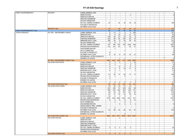| PUBLIC TELEPHONE(DOITT)       | 858-DOITT                          | ADMIN. DISMISSAL ECB         |                |                |                  |                |                  |                |  |  |  |                |
|-------------------------------|------------------------------------|------------------------------|----------------|----------------|------------------|----------------|------------------|----------------|--|--|--|----------------|
|                               |                                    | <b>DEFECTIVE NOV</b>         |                |                |                  |                | $\mathbf{1}$     |                |  |  |  | $\overline{1}$ |
|                               |                                    | <b>DEFECTIVE SERVICE</b>     |                |                |                  |                |                  |                |  |  |  |                |
|                               |                                    | <b>DISPUTED OWNERSHIP</b>    |                |                |                  |                |                  |                |  |  |  |                |
|                               |                                    | NO ECB JURISDICTION          |                |                |                  |                |                  |                |  |  |  |                |
|                               |                                    | NO VIOL. DISMISS ON MERITS   | 24             |                | 16               | 18             | 23               | 19             |  |  |  | 100            |
|                               |                                    | <b>FAILURE TO PROSECUTE</b>  |                |                |                  |                |                  |                |  |  |  |                |
|                               |                                    | NO PRIMA FACIA CASE          |                |                |                  |                |                  |                |  |  |  |                |
|                               | 858-DOITT Total                    |                              | 24             |                | 16               | 18             | 24               | 19             |  |  |  | 101            |
| PUBLIC TELEPHONE(DOITT) Total |                                    |                              | 24             |                | 16               | 18             | 24               | 19             |  |  |  | 101            |
| SANITATION(DSNY)              | 827-DOS - ENFORCEMENT AGENTS       | ADMIN, DISMISSAL ECB         | 6              | 11             | 2 <sup>1</sup>   | 2 <sup>1</sup> | 5 <sup>1</sup>   | 285            |  |  |  | 311            |
|                               |                                    | <b>DEFECTIVE NOV</b>         | 9              | 6              | 10               | 5 <sup>5</sup> | 11               | 21             |  |  |  | 62             |
|                               |                                    | <b>DEFECTIVE SERVICE</b>     | 118            | 19             | 12               | 16             | 23               | 8 <sup>1</sup> |  |  |  | 196            |
|                               |                                    | <b>DISPUTED OWNERSHIP</b>    | 133            | 88             | 82               | 129            | 69               | 70             |  |  |  | 571            |
|                               |                                    | <b>IMPROPER PARTY CITED</b>  | 108            | 36             | 8 <sup>1</sup>   | 49             | 28               | 22             |  |  |  | 251            |
|                               |                                    | NO ECB JURISDICTION          | 5              | 8              | $\left  \right $ | $\vert$ 1      |                  |                |  |  |  | 16             |
|                               |                                    | NO VIOL. DISMISS ON MERITS   | 787            | 799            | 645              | 750            | 1026             | 594            |  |  |  | 4601           |
|                               |                                    | PROSECUTION WITHDRAWN        | 110            | 214            | 84               | 2 <sup>2</sup> | 93               | 47             |  |  |  | 550            |
|                               |                                    | UNA SSIGNED REASON           |                | -1             |                  |                |                  |                |  |  |  | $\mathbf{1}$   |
|                               |                                    | DATA CORRECTION              |                |                |                  | 1              |                  |                |  |  |  | $\mathbf{1}$   |
|                               |                                    | <b>FAILURE TO PROSECUTE</b>  | 8              |                |                  |                |                  |                |  |  |  | 8              |
|                               |                                    | NO PRIMA FACIA CASE          | 8 <sup>2</sup> | 15             | $6 \mid$         | 18             | 10 <sup>1</sup>  | 11             |  |  |  | 68             |
|                               |                                    | WITHDRAWAL AFTER ADJUDICATE  |                |                |                  |                |                  |                |  |  |  |                |
|                               |                                    | <b>INTEREST OF JUSTICE</b>   |                |                | 1                | 1              |                  |                |  |  |  | $\overline{2}$ |
|                               | 827-DOS - ENFORCEMENT AGENTS Total |                              | 1292           | 1197           | 852              | 974            |                  | 1265 1058      |  |  |  | 6638           |
|                               | 828-SANITATION POLICE              | ADMIN. DISMISSAL ECB         | 3 <sup>2</sup> | 3 <sup>5</sup> | 2                | 2              | 1                | 16             |  |  |  | 27             |
|                               |                                    | DEFECTIVE NOV                | 2 <sup>2</sup> | 1              |                  | 1              | $\overline{2}$   | $\overline{2}$ |  |  |  | $\bf8$         |
|                               |                                    | DEFECTIVE SERVICE            | $\overline{4}$ |                | 6                | $\vert$        | 6 <sup>1</sup>   | $\overline{2}$ |  |  |  | $22\,$         |
|                               |                                    | <b>DISPUTED OWNERSHIP</b>    | 5 <sup>5</sup> | $\vert$        | 8 <sup>1</sup>   | 19             | 11               | 8              |  |  |  | 55             |
|                               |                                    | <b>IMPROPER PARTY CITED</b>  | 6              | 3 <sup>1</sup> | 1                | $\overline{7}$ |                  | $\vert$        |  |  |  | 21             |
|                               |                                    | NO ECB JURISDICTION          |                | $\mathbf{1}$   |                  |                |                  |                |  |  |  | -1             |
|                               |                                    | NO VIOL. DISMISS ON MERITS   | 57             | 92             | 72               | 68             | 72               | 77             |  |  |  | 438            |
|                               |                                    | <b>PROSECUTION WITHDRAWN</b> | $\vert$ 1      | 1              |                  | $\overline{2}$ |                  |                |  |  |  | $\overline{4}$ |
|                               |                                    | <b>FAILURE TO PROSECUTE</b>  | $\vert$ 1      |                |                  |                |                  |                |  |  |  | $\mathbf{1}$   |
|                               |                                    | <b>INTEREST OF JUSTICE</b>   |                |                |                  |                |                  | $\overline{1}$ |  |  |  | $\mathbf{1}$   |
|                               |                                    | NO PRIMA FACIA CASE          | $\vert$ 1      | 6              | $\left  \right $ | 2 <sup>2</sup> | 2                | $\overline{4}$ |  |  |  | 17             |
|                               | 828-SANITATION POLICE Total        |                              | 80             | 111            | 91               | 105            | 94               | 114            |  |  |  | 595            |
|                               | 829-SANITATION OTHERS              | ADMIN. DISMISSAL ECB         | 15             | 26             | 10               | 17             | 15               | $\overline{7}$ |  |  |  | 90             |
|                               |                                    | DEFECTIVE NOV                | 131            | 100            | 74               | 159            | 104              | 99             |  |  |  | 667            |
|                               |                                    | <b>DEFECTIVE SERVICE</b>     | 258            | 224            | 236              | 282            | 330              | 277            |  |  |  | 1607           |
|                               |                                    | <b>DISPUTED OWNERSHIP</b>    | 86             | 80             | 79               | 187            | 101              | 46             |  |  |  | 579            |
|                               |                                    | <b>IMPROPER PARTY CITED</b>  | 81             | 37             | 38               | 64             | 38               | 44             |  |  |  | 302            |
|                               |                                    | NO ECB JURISDICTION          | 10             | 5 <sup>5</sup> | $\overline{1}$   | 5 <sup>5</sup> | $\left  \right $ |                |  |  |  | 23             |
|                               |                                    | NO VIOL. DISMISS ON MERITS   | 1274           | 1281           | 1086             | 1501           | 1412             | 977            |  |  |  | 7531           |
|                               |                                    | <b>PROSECUTION WITHDRAWN</b> | 6              | 3              | 8                | 8 <sup>2</sup> | 5 <sup>5</sup>   | 11             |  |  |  | 41             |
|                               |                                    | <b>DATA CORRECTION</b>       |                | $\overline{1}$ |                  | 2 <sup>2</sup> | $\overline{3}$   |                |  |  |  |                |
|                               |                                    | UNA SSIGNED REASON           |                |                | 3 <sup>2</sup>   | 1              | 1                | $\overline{1}$ |  |  |  | $\,6\,$        |
|                               |                                    | WORK DONE BY PREV. OWNER     |                |                |                  |                |                  |                |  |  |  |                |
|                               |                                    | <b>FAILURE TO PROSECUTE</b>  |                | $\overline{2}$ |                  |                |                  |                |  |  |  | $\overline{2}$ |
|                               |                                    | NO PRIMA FACIA CASE          | 32             | 58             | 42               | 65             | 61               | 57             |  |  |  | 315            |
|                               |                                    | WITHDRAWAL AFTER ADJUDICATE  |                |                |                  |                |                  |                |  |  |  |                |
|                               |                                    | <b>INTEREST OF JUSTICE</b>   |                |                |                  | 2 <sup>1</sup> |                  |                |  |  |  | $\overline{2}$ |
|                               | 829-SANITA TION OTHERS Total       |                              | 1893           |                | 1817 1577        | 2293           |                  | 2072 1519      |  |  |  | 11171          |
|                               | 830-SANITATION PIU                 | ADMIN. DISMISSAL ECB         |                |                | $\mathbf{1}$     |                |                  |                |  |  |  | -1             |
|                               |                                    | <b>DEFECTIVE NOV</b>         |                |                |                  |                |                  |                |  |  |  |                |
|                               |                                    | <b>DEFECTIVE SERVICE</b>     |                |                |                  |                |                  |                |  |  |  |                |
|                               |                                    | <b>DISPUTED OWNERSHIP</b>    |                |                |                  |                |                  |                |  |  |  |                |
|                               |                                    | <b>IMPROPER PARTY CITED</b>  |                |                |                  |                |                  |                |  |  |  |                |
|                               |                                    | NO VIOL. DISMISS ON MERITS   | 3 <sup>2</sup> | 3 <sup>1</sup> | $\overline{2}$   | 6 <sup>1</sup> | $\overline{2}$   |                |  |  |  | 16             |
|                               |                                    | PROSECUTION WITHDRAWN        |                |                |                  |                |                  |                |  |  |  |                |
|                               |                                    | <b>NO PRIMA FACIA CASE</b>   |                |                |                  |                |                  |                |  |  |  |                |
|                               | 830-SANITATION PIU Total           |                              | 3 <sup>2</sup> | 3 <sup>1</sup> | 3                | 6              | 2                |                |  |  |  | 17             |